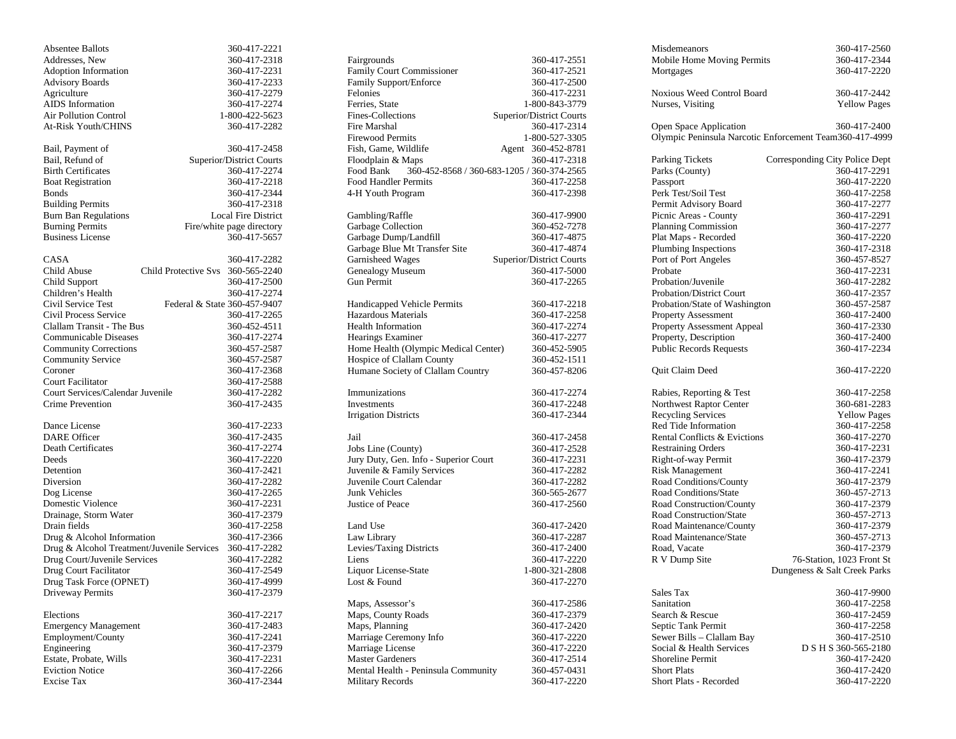| <b>Absentee Ballots</b>                    |                              | 360-417-2221               |
|--------------------------------------------|------------------------------|----------------------------|
| Addresses, New                             |                              | 360-417-2318               |
| Adoption Information                       |                              | 360-417-2231               |
| <b>Advisory Boards</b>                     |                              | 360-417-2233               |
| Agriculture                                |                              | 360-417-2279               |
| <b>AIDS</b> Information                    |                              | 360-417-2274               |
| <b>Air Pollution Control</b>               |                              | 1-800-422-5623             |
| At-Risk Youth/CHINS                        |                              | 360-417-2282               |
|                                            |                              |                            |
| Bail, Payment of                           |                              | 360-417-2458               |
| Bail, Refund of                            |                              | Superior/District Courts   |
| <b>Birth Certificates</b>                  |                              | 360-417-2274               |
| <b>Boat Registration</b>                   |                              | 360-417-2218               |
| <b>Bonds</b>                               |                              | 360-417-2344               |
| <b>Building Permits</b>                    |                              | 360-417-2318               |
| <b>Burn Ban Regulations</b>                |                              | <b>Local Fire District</b> |
| <b>Burning Permits</b>                     |                              | Fire/white page directory  |
| <b>Business License</b>                    |                              | 360-417-5657               |
|                                            |                              |                            |
| CASA                                       |                              | 360-417-2282               |
| Child Abuse                                | Child Protective Sys         | 360-565-2240               |
| Child Support                              |                              | 360-417-2500               |
| Children's Health                          |                              | 360-417-2274               |
| Civil Service Test                         | Federal & State 360-457-9407 |                            |
| Civil Process Service                      |                              | 360-417-2265               |
| Clallam Transit - The Bus                  |                              | 360-452-4511               |
| <b>Communicable Diseases</b>               |                              |                            |
|                                            |                              | 360-417-2274               |
| <b>Community Corrections</b>               |                              | 360-457-2587               |
| <b>Community Service</b>                   |                              | 360-457-2587               |
| Coroner                                    |                              | 360-417-2368               |
| Court Facilitator                          |                              | 360-417-2588               |
| Court Services/Calendar Juvenile           |                              | 360-417-2282               |
| <b>Crime Prevention</b>                    |                              | 360-417-2435               |
| Dance License                              |                              | 360-417-2233               |
| <b>DARE</b> Officer                        |                              | 360-417-2435               |
| Death Certificates                         |                              | 360-417-2274               |
| Deeds                                      |                              | 360-417-2220               |
| Detention                                  |                              | 360-417-2421               |
|                                            |                              |                            |
| Diversion                                  |                              | 360-417-2282               |
| Dog License                                |                              | 360-417-2265               |
| Domestic Violence                          |                              | 360-417-2231               |
| Drainage, Storm Water                      |                              | 360-417-2379               |
| Drain fields                               |                              | 360-417-2258               |
| Drug & Alcohol Information                 |                              | 360-417-2366               |
| Drug & Alcohol Treatment/Juvenile Services |                              | 360-417-2282               |
| Drug Court/Juvenile Services               |                              | 360-417-2282               |
| Drug Court Facilitator                     |                              | 360-417-2549               |
| Drug Task Force (OPNET)                    |                              | 360-417-4999               |
| Driveway Permits                           |                              | 360-417-2379               |
| Elections                                  |                              |                            |
|                                            |                              | 360-417-2217               |
| <b>Emergency Management</b>                |                              | 360-417-2483               |
| Employment/County                          |                              | 360-417-2241               |
| Engineering                                |                              | 360-417-2379               |
| Estate, Probate, Wills                     |                              | 360-417-2231               |
| <b>Eviction Notice</b>                     |                              | 360-417-2266               |
| <b>Excise Tax</b>                          |                              | 360-417-2344               |

| Fairgrounds                                             | 360-417-2551                    |
|---------------------------------------------------------|---------------------------------|
| Family Court Commissioner                               | 360-417-2521                    |
| Family Support/Enforce                                  | 360-417-2500                    |
| Felonies                                                | 360-417-2231                    |
| Ferries, State                                          | 1-800-843-3779                  |
| Fines-Collections                                       | <b>Superior/District Courts</b> |
| Fire Marshal                                            | 360-417-2314                    |
| Firewood Permits                                        | 1-800-527-3305                  |
| Fish, Game, Wildlife                                    | 360-452-8781<br>Agent           |
| Floodplain & Maps                                       | 360-417-2318                    |
| Food Bank<br>360-452-8568 / 360-683-1205 / 360-374-2565 |                                 |
| <b>Food Handler Permits</b>                             | 360-417-2258                    |
| 4-H Youth Program                                       | 360-417-2398                    |
|                                                         |                                 |
| Gambling/Raffle                                         | 360-417-9900                    |
| Garbage Collection                                      | 360-452-7278                    |
| Garbage Dump/Landfill                                   | 360-417-4875                    |
| Garbage Blue Mt Transfer Site                           | 360-417-4874                    |
| Garnisheed Wages                                        | Superior/District Courts        |
| <b>Genealogy Museum</b>                                 | 360-417-5000                    |
| Gun Permit                                              | 360-417-2265                    |
|                                                         |                                 |
| Handicapped Vehicle Permits                             | 360-417-2218                    |
| Hazardous Materials                                     | 360-417-2258                    |
| <b>Health Information</b>                               | 360-417-2274                    |
| <b>Hearings Examiner</b>                                | 360-417-2277                    |
| Home Health (Olympic Medical Center)                    | 360-452-5905                    |
| Hospice of Clallam County                               | 360-452-1511                    |
| Humane Society of Clallam Country                       | 360-457-8206                    |
|                                                         |                                 |
| Immunizations                                           | 360-417-2274                    |
| Investments                                             | 360-417-2248                    |
| <b>Irrigation Districts</b>                             | 360-417-2344                    |
|                                                         |                                 |
| Jail                                                    | 360-417-2458                    |
| Jobs Line (County)                                      | 360-417-2528                    |
| Jury Duty, Gen. Info - Superior Court                   | 360-417-2231                    |
| Juvenile & Family Services                              | 360-417-2282                    |
| Juvenile Court Calendar                                 | 360-417-2282                    |
| Junk Vehicles                                           | 360-565-2677                    |
| Justice of Peace                                        | 360-417-2560                    |
|                                                         |                                 |
| Land Use                                                | 360-417-2420                    |
| Law Library                                             | 360-417-2287                    |
| Levies/Taxing Districts                                 | 360-417-2400                    |
| Liens                                                   | 360-417-2220                    |
| <b>Liquor License-State</b>                             | 1-800-321-2808                  |
| Lost & Found                                            | 360-417-2270                    |
| Maps, Assessor's                                        | 360-417-2586                    |
| Maps, County Roads                                      | 360-417-2379                    |
|                                                         |                                 |
| Maps, Planning                                          | 360-417-2420                    |
| Marriage Ceremony Info                                  | 360-417-2220                    |
| Marriage License                                        | 360-417-2220                    |
| <b>Master Gardeners</b>                                 | 360-417-2514                    |
| Mental Health - Peninsula Community                     | 360-457-0431                    |
| <b>Military Records</b>                                 | 360-417-2220                    |
|                                                         |                                 |

| Misdemeanors                    | 360-417-2560                                            |
|---------------------------------|---------------------------------------------------------|
| Mobile Home Moving Permits      | 360-417-2344                                            |
| Mortgages                       | 360-417-2220                                            |
| Noxious Weed Control Board      | 360-417-2442                                            |
| Nurses, Visiting                | <b>Yellow Pages</b>                                     |
|                                 |                                                         |
| <b>Open Space Application</b>   | 360-417-2400                                            |
|                                 | Olympic Peninsula Narcotic Enforcement Team360-417-4999 |
| <b>Parking Tickets</b>          | Corresponding City Police Dept                          |
| Parks (County)                  | 360-417-2291                                            |
| Passport                        | 360-417-2220                                            |
| Perk Test/Soil Test             | 360-417-2258                                            |
| Permit Advisory Board           | 360-417-2277                                            |
| Picnic Areas - County           | 360-417-2291                                            |
| <b>Planning Commission</b>      | 360-417-2277                                            |
| Plat Maps - Recorded            | 360-417-2220                                            |
| Plumbing Inspections            | 360-417-2318                                            |
| Port of Port Angeles            | 360-457-8527                                            |
| Probate                         | 360-417-2231                                            |
| Probation/Juvenile              | 360-417-2282                                            |
|                                 | 360-417-2357                                            |
| <b>Probation/District Court</b> |                                                         |
| Probation/State of Washington   | 360-457-2587                                            |
| <b>Property Assessment</b>      | 360-417-2400                                            |
| Property Assessment Appeal      | 360-417-2330                                            |
| Property, Description           | 360-417-2400                                            |
| <b>Public Records Requests</b>  | 360-417-2234                                            |
| Quit Claim Deed                 | 360-417-2220                                            |
| Rabies, Reporting & Test        | 360-417-2258                                            |
| Northwest Raptor Center         | 360-681-2283                                            |
| <b>Recycling Services</b>       | <b>Yellow Pages</b>                                     |
| Red Tide Information            | 360-417-2258                                            |
| Rental Conflicts & Evictions    | 360-417-2270                                            |
| <b>Restraining Orders</b>       | 360-417-2231                                            |
| Right-of-way Permit             | 360-417-2379                                            |
| <b>Risk Management</b>          | 360-417-2241                                            |
| Road Conditions/County          | 360-417-2379                                            |
| <b>Road Conditions/State</b>    | 360-457-2713                                            |
| Road Construction/County        | 360-417-2379                                            |
| Road Construction/State         | 360-457-2713                                            |
| Road Maintenance/County         | 360-417-2379                                            |
| Road Maintenance/State          | 360-457-2713                                            |
|                                 |                                                         |
| Road, Vacate                    | 360-417-2379                                            |
| R V Dump Site                   | 76-Station, 1023 Front St                               |
|                                 | Dungeness & Salt Creek Parks                            |
| Sales Tax                       | 360-417-9900                                            |
| Sanitation                      | 360-417-2258                                            |
| Search & Rescue                 | 360-417-2459                                            |
| Septic Tank Permit              | 360-417-2258                                            |
| Sewer Bills - Clallam Bay       | 360-417-2510                                            |
| Social & Health Services        | D S H S 360-565-2180                                    |
| <b>Shoreline Permit</b>         | 360-417-2420                                            |
| <b>Short Plats</b>              | 360-417-2420                                            |
| Short Plats - Recorded          | 360-417-2220                                            |
|                                 |                                                         |